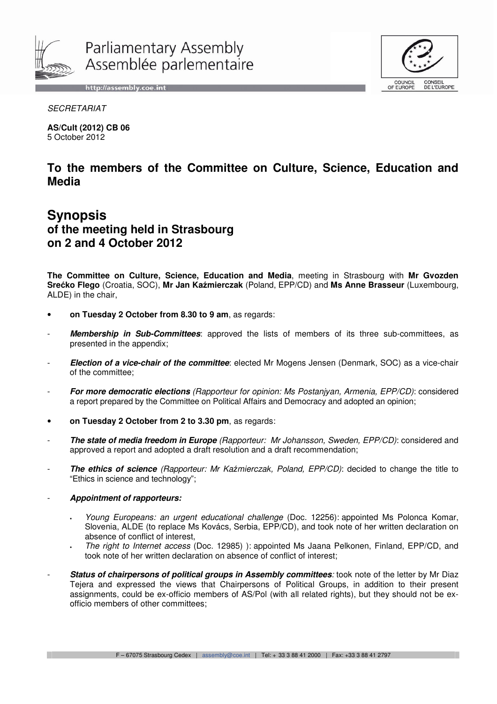

http://assembly.coe.int



**SECRETARIAT** 

**AS/Cult (2012) CB 06**  5 October 2012

## **To the members of the Committee on Culture, Science, Education and Media**

# **Synopsis of the meeting held in Strasbourg on 2 and 4 October 2012**

**The Committee on Culture, Science, Education and Media**, meeting in Strasbourg with **Mr Gvozden Sre**ć**ko Flego** (Croatia, SOC), **Mr Jan Ka**ź**mierczak** (Poland, EPP/CD) and **Ms Anne Brasseur** (Luxembourg, ALDE) in the chair,

- **on Tuesday 2 October from 8.30 to 9 am**, as regards:
- Membership in Sub-Committees: approved the lists of members of its three sub-committees, as presented in the appendix;
- **Election of a vice-chair of the committee**: elected Mr Mogens Jensen (Denmark, SOC) as a vice-chair of the committee;
- **For more democratic elections** (Rapporteur for opinion: Ms Postanjyan, Armenia, EPP/CD): considered a report prepared by the Committee on Political Affairs and Democracy and adopted an opinion;
- **on Tuesday 2 October from 2 to 3.30 pm**, as regards:
- The state of media freedom in Europe (Rapporteur: Mr Johansson, Sweden, EPP/CD): considered and approved a report and adopted a draft resolution and a draft recommendation;
- **The ethics of science** (Rapporteur: Mr Kaźmierczak, Poland, EPP/CD): decided to change the title to "Ethics in science and technology";
- **Appointment of rapporteurs:** 
	- Young Europeans: an urgent educational challenge (Doc. 12256): appointed Ms Polonca Komar, Slovenia, ALDE (to replace Ms Kovács, Serbia, EPP/CD), and took note of her written declaration on absence of conflict of interest,
	- The right to Internet access (Doc. 12985) ): appointed Ms Jaana Pelkonen, Finland, EPP/CD, and took note of her written declaration on absence of conflict of interest;
- **Status of chairpersons of political groups in Assembly committees:** took note of the letter by Mr Diaz Tejera and expressed the views that Chairpersons of Political Groups, in addition to their present assignments, could be ex-officio members of AS/Pol (with all related rights), but they should not be exofficio members of other committees;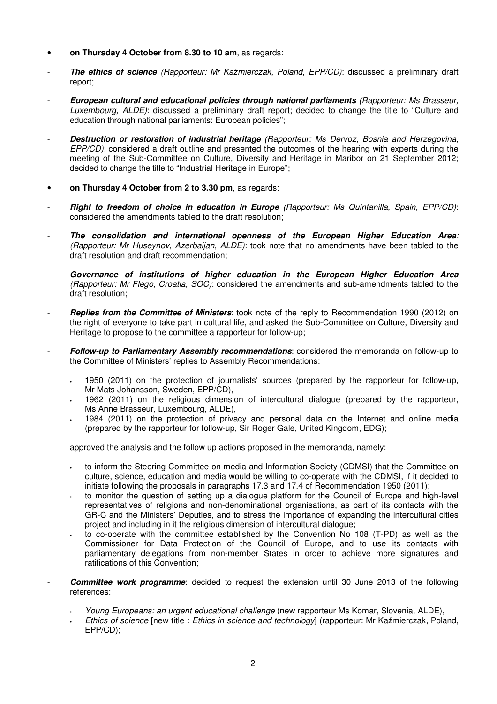- **on Thursday 4 October from 8.30 to 10 am**, as regards:
- **The ethics of science** (Rapporteur: Mr Kaźmierczak, Poland, EPP/CD): discussed a preliminary draft report;
- **European cultural and educational policies through national parliaments** (Rapporteur: Ms Brasseur, Luxembourg, ALDE): discussed a preliminary draft report; decided to change the title to "Culture and education through national parliaments: European policies";
- **Destruction or restoration of industrial heritage** (Rapporteur: Ms Dervoz, Bosnia and Herzegovina, EPP/CD): considered a draft outline and presented the outcomes of the hearing with experts during the meeting of the Sub-Committee on Culture, Diversity and Heritage in Maribor on 21 September 2012; decided to change the title to "Industrial Heritage in Europe";
- **on Thursday 4 October from 2 to 3.30 pm**, as regards:
- **Right to freedom of choice in education in Europe** (Rapporteur: Ms Quintanilla, Spain, EPP/CD): considered the amendments tabled to the draft resolution;
- **The consolidation and international openness of the European Higher Education Area**: (Rapporteur: Mr Huseynov, Azerbaijan, ALDE): took note that no amendments have been tabled to the draft resolution and draft recommendation;
- Governance of institutions of higher education in the European Higher Education Area (Rapporteur: Mr Flego, Croatia, SOC): considered the amendments and sub-amendments tabled to the draft resolution;
- **Replies from the Committee of Ministers**: took note of the reply to Recommendation 1990 (2012) on the right of everyone to take part in cultural life, and asked the Sub-Committee on Culture, Diversity and Heritage to propose to the committee a rapporteur for follow-up;
- **Follow-up to Parliamentary Assembly recommendations**: considered the memoranda on follow-up to the Committee of Ministers' replies to Assembly Recommendations:
	- 1950 (2011) on the protection of journalists' sources (prepared by the rapporteur for follow-up, Mr Mats Johansson, Sweden, EPP/CD),
	- 1962 (2011) on the religious dimension of intercultural dialogue (prepared by the rapporteur, Ms Anne Brasseur, Luxembourg, ALDE),
	- 1984 (2011) on the protection of privacy and personal data on the Internet and online media (prepared by the rapporteur for follow-up, Sir Roger Gale, United Kingdom, EDG);

approved the analysis and the follow up actions proposed in the memoranda, namely:

- to inform the Steering Committee on media and Information Society (CDMSI) that the Committee on culture, science, education and media would be willing to co-operate with the CDMSI, if it decided to initiate following the proposals in paragraphs 17.3 and 17.4 of Recommendation 1950 (2011);
- to monitor the question of setting up a dialogue platform for the Council of Europe and high-level representatives of religions and non-denominational organisations, as part of its contacts with the GR-C and the Ministers' Deputies, and to stress the importance of expanding the intercultural cities project and including in it the religious dimension of intercultural dialogue;
- to co-operate with the committee established by the Convention No 108 (T-PD) as well as the Commissioner for Data Protection of the Council of Europe, and to use its contacts with parliamentary delegations from non-member States in order to achieve more signatures and ratifications of this Convention;
- **Committee work programme**: decided to request the extension until 30 June 2013 of the following references:
	- Young Europeans: an urgent educational challenge (new rapporteur Ms Komar, Slovenia, ALDE),
	- Ethics of science [new title : Ethics in science and technology] (rapporteur: Mr Kaźmierczak, Poland, EPP/CD);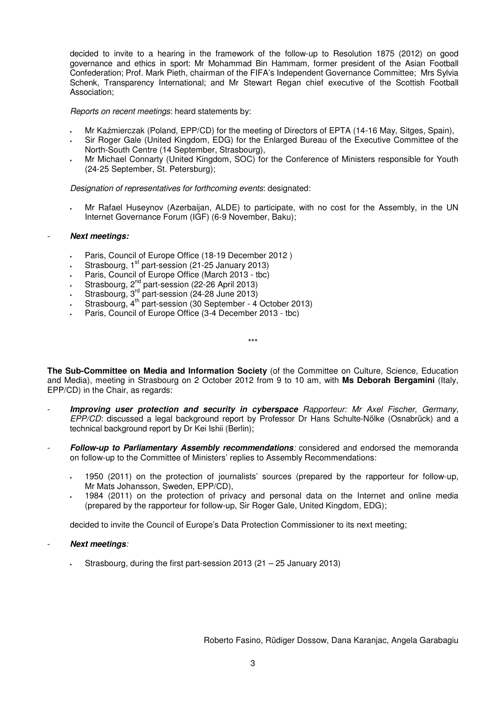decided to invite to a hearing in the framework of the follow-up to Resolution 1875 (2012) on good governance and ethics in sport: Mr Mohammad Bin Hammam, former president of the Asian Football Confederation; Prof. Mark Pieth, chairman of the FIFA's Independent Governance Committee; Mrs Sylvia Schenk, Transparency International; and Mr Stewart Regan chief executive of the Scottish Football Association;

Reports on recent meetings: heard statements by:

- Mr Kaźmierczak (Poland, EPP/CD) for the meeting of Directors of EPTA (14-16 May, Sitges, Spain),
- Sir Roger Gale (United Kingdom, EDG) for the Enlarged Bureau of the Executive Committee of the North-South Centre (14 September, Strasbourg),
- Mr Michael Connarty (United Kingdom, SOC) for the Conference of Ministers responsible for Youth (24-25 September, St. Petersburg);

Designation of representatives for forthcoming events: designated:

• Mr Rafael Huseynov (Azerbaijan, ALDE) to participate, with no cost for the Assembly, in the UN Internet Governance Forum (IGF) (6-9 November, Baku);

#### - **Next meetings:**

- Paris, Council of Europe Office (18-19 December 2012 )
- Strasbourg, 1<sup>st</sup> part-session (21-25 January 2013)
- Paris, Council of Europe Office (March 2013 tbc)
- $\cdot$  Strasbourg, 2<sup>nd</sup> part-session (22-26 April 2013)
- **Strasbourg, 3<sup>rd</sup> part-session (24-28 June 2013)**
- **Strasbourg, 4<sup>th</sup> part-session (30 September 4 October 2013)**
- Paris, Council of Europe Office (3-4 December 2013 tbc)

**The Sub-Committee on Media and Information Society** (of the Committee on Culture, Science, Education and Media), meeting in Strasbourg on 2 October 2012 from 9 to 10 am, with **Ms Deborah Bergamini** (Italy, EPP/CD) in the Chair, as regards:

\*\*\*

- **Improving user protection and security in cyberspace** Rapporteur: Mr Axel Fischer, Germany, EPP/CD: discussed a legal background report by Professor Dr Hans Schulte-Nölke (Osnabrück) and a technical background report by Dr Kei Ishii (Berlin);
- **Follow-up to Parliamentary Assembly recommendations**: considered and endorsed the memoranda on follow-up to the Committee of Ministers' replies to Assembly Recommendations:
	- 1950 (2011) on the protection of journalists' sources (prepared by the rapporteur for follow-up, Mr Mats Johansson, Sweden, EPP/CD),
	- 1984 (2011) on the protection of privacy and personal data on the Internet and online media (prepared by the rapporteur for follow-up, Sir Roger Gale, United Kingdom, EDG);

decided to invite the Council of Europe's Data Protection Commissioner to its next meeting;

- **Next meetings**:
	- Strasbourg, during the first part-session 2013 (21 25 January 2013)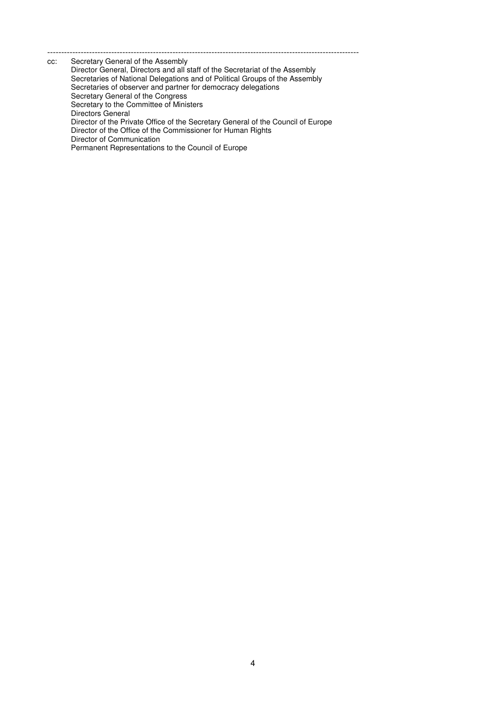--------------------------------------------------------------------------------------------------------------- cc: Secretary General of the Assembly Director General, Directors and all staff of the Secretariat of the Assembly Secretaries of National Delegations and of Political Groups of the Assembly Secretaries of observer and partner for democracy delegations Secretary General of the Congress Secretary to the Committee of Ministers Directors General Director of the Private Office of the Secretary General of the Council of Europe Director of the Office of the Commissioner for Human Rights Director of Communication Permanent Representations to the Council of Europe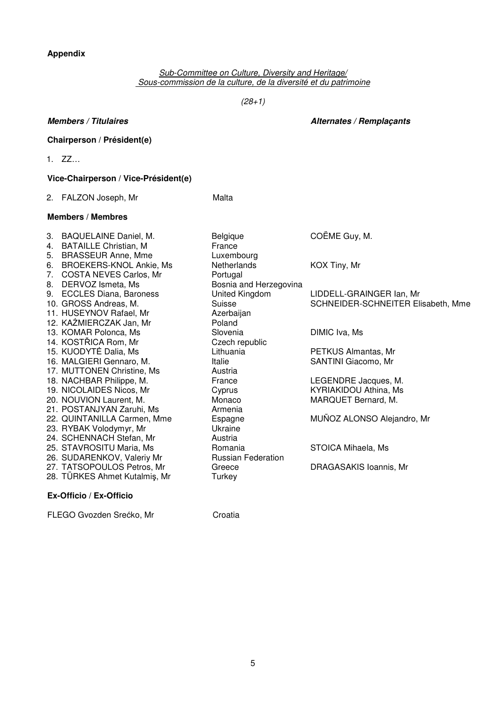## **Appendix**

Sub-Committee on Culture, Diversity and Heritage/ Sous-commission de la culture, de la diversité et du patrimoine

 $(28+1)$ 

### **Chairperson / Président(e)**

1. ZZ…

### **Vice-Chairperson / Vice-Président(e)**

2. FALZON Joseph, Mr. Malta

### **Members / Membres**

3. BAQUELAINE Daniel, M. Belgique COËME Guy, M. 4. BATAILLE Christian, M France 5. BRASSEUR Anne, Mme Luxembourg 6. BROEKERS-KNOL Ankie, Ms Netherlands KOX Tiny, Mr 7. COSTA NEVES Carlos, Mr. Portugal 8. DERVOZ Ismeta, Ms Bosnia and Herzegovina 9. ECCLES Diana, Baroness United Kingdom LIDDELL-GRAINGER Ian, Mr 11. HUSEYNOV Rafael, Mr Azerbaijan 12. KAŹMIERCZAK Jan, Mr<br>13. KOMAR Polonca, Ms<br>13. KOMAR Polonca, Ms 13. KOMAR Polonca, Ms Slovenia DIMIC Iva, Ms 14. KOSTŘICA Rom, Mr<br>15. KUODYTÉ Dalia, Ms<br>Czech republic Lithuania 15. KUODYTĖ Dalia, Ms Lithuania PETKUS Almantas, Mr<br>16. MALGIERI Gennaro, M. Italie SANTINI Giacomo, Mr 16. MALGIERI Gennaro, M. 17. MUTTONEN Christine, Ms
<br>
Austria 18. NACHBAR Philippe, M. France LEGENDRE Jacques, M. 19. NICOLAIDES Nicos, Mr Cyprus KYRIAKIDOU Athina, M<br>20. NOUVION Laurent. M. Monaco MAROUET Bernard. M. 20. NOUVION Laurent, M. MONACO 21. POSTANJYAN Zaruhi, Ms Armenia 22. QUINTANILLA Carmen, Mme Espagne MUÑOZ ALONSO Alejandro, Mr<br>23. RYBAK Volodymyr. Mr Ukraine Ukraine 23. RYBAK Volodymyr, Mr 24. SCHENNACH Stefan, Mr Austria 25. STAVROSITU Maria, Ms
and Bomania
no Romania
STOICA Mihaela, Ms
and STOICA Mihaela, Ms
and STOICA Mihaela, Ms
and STOICA Mihaela, Ms
and STOICA Mihaela, Ms 26. SUDARENKOV, Valeriy Mr Russian Federation 27. TATSOPOULOS Petros, Mr<br>28. TÜRKES Ahmet Kutalmiş, Mr<br>Turkey Carl Garace DRAGASAKIS Ioannis, Mr 28. TÜRKES Ahmet Kutalmiş, Mr **Ex-Officio / Ex-Officio** 

10. GROSS Andreas, M. Suisse Suisse SCHNEIDER-SCHNEITER Elisabeth, Mme

FLEGO Gvozden Srećko, Mr<br>
Croatia

**Members / Titulaires Alternates / Remplaçants**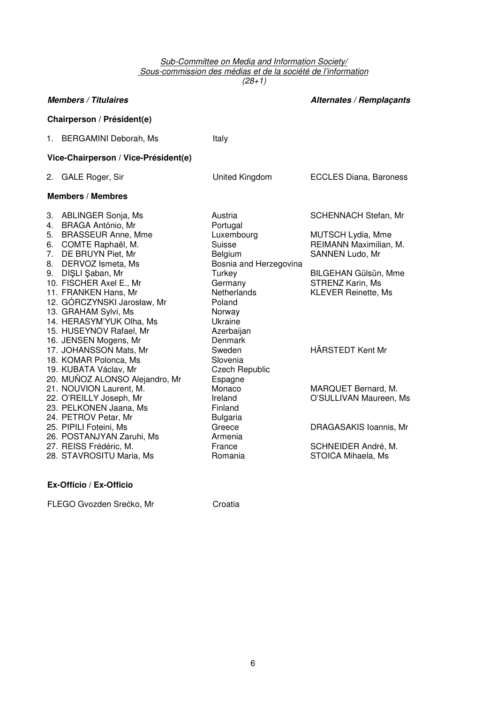#### Sub-Committee on Media and Information Society/ Sous-commission des médias et de la société de l'information  $(28+1)$

|                                      | <b>Members / Titulaires</b>                                                                                                                                                                                                                                                                                                                            | <b>Alternates / Remplaçants</b>                                                                                                                                                     |                                                                                                                                                                         |  |
|--------------------------------------|--------------------------------------------------------------------------------------------------------------------------------------------------------------------------------------------------------------------------------------------------------------------------------------------------------------------------------------------------------|-------------------------------------------------------------------------------------------------------------------------------------------------------------------------------------|-------------------------------------------------------------------------------------------------------------------------------------------------------------------------|--|
| Chairperson / Président(e)           |                                                                                                                                                                                                                                                                                                                                                        |                                                                                                                                                                                     |                                                                                                                                                                         |  |
|                                      | 1. BERGAMINI Deborah, Ms                                                                                                                                                                                                                                                                                                                               | Italy                                                                                                                                                                               |                                                                                                                                                                         |  |
| Vice-Chairperson / Vice-Président(e) |                                                                                                                                                                                                                                                                                                                                                        |                                                                                                                                                                                     |                                                                                                                                                                         |  |
|                                      | 2. GALE Roger, Sir                                                                                                                                                                                                                                                                                                                                     | United Kingdom                                                                                                                                                                      | <b>ECCLES Diana, Baroness</b>                                                                                                                                           |  |
| <b>Members / Membres</b>             |                                                                                                                                                                                                                                                                                                                                                        |                                                                                                                                                                                     |                                                                                                                                                                         |  |
| 5.<br>6.<br>7.<br>8.<br>9.           | 3. ABLINGER Sonja, Ms<br>4. BRAGA António, Mr<br><b>BRASSEUR Anne, Mme</b><br>COMTE Raphaël, M.<br>DE BRUYN Piet, Mr<br>DERVOZ Ismeta, Ms<br>DIŞLI Şaban, Mr<br>10. FISCHER Axel E., Mr<br>11. FRANKEN Hans, Mr<br>12. GORCZYNSKI Jarosław, Mr<br>13. GRAHAM Sylvi, Ms<br>14. HERASYM'YUK Olha, Ms<br>15. HUSEYNOV Rafael, Mr<br>16. JENSEN Mogens, Mr | Austria<br>Portugal<br>Luxembourg<br>Suisse<br><b>Belgium</b><br>Bosnia and Herzegovina<br>Turkey<br>Germany<br>Netherlands<br>Poland<br>Norway<br>Ukraine<br>Azerbaijan<br>Denmark | <b>SCHENNACH Stefan, Mr</b><br>MUTSCH Lydia, Mme<br>REIMANN Maximilian, M.<br>SANNEN Ludo, Mr<br>BILGEHAN Gülsün, Mme<br>STRENZ Karin, Ms<br><b>KLEVER Reinette, Ms</b> |  |
|                                      | 17. JOHANSSON Mats, Mr<br>18. KOMAR Polonca, Ms<br>19. KUBATA Václav, Mr<br>20. MUÑOZ ALONSO Alejandro, Mr                                                                                                                                                                                                                                             | Sweden<br>Slovenia<br><b>Czech Republic</b><br>Espagne                                                                                                                              | HÄRSTEDT Kent Mr                                                                                                                                                        |  |
|                                      | 21. NOUVION Laurent, M.<br>22. O'REILLY Joseph, Mr<br>23. PELKONEN Jaana, Ms<br>24. PETROV Petar, Mr                                                                                                                                                                                                                                                   | Monaco<br>Ireland<br>Finland<br><b>Bulgaria</b>                                                                                                                                     | MARQUET Bernard, M.<br>O'SULLIVAN Maureen, Ms                                                                                                                           |  |
|                                      | 25. PIPILI Foteini, Ms<br>26. POSTANJYAN Zaruhi, Ms<br>27. REISS Frédéric, M.<br>28. STAVROSITU Maria, Ms                                                                                                                                                                                                                                              | Greece<br>Armenia<br>France<br>Romania                                                                                                                                              | DRAGASAKIS Ioannis, Mr<br>SCHNEIDER André, M.<br>STOICA Mihaela, Ms                                                                                                     |  |

**Ex-Officio / Ex-Officio** 

FLEGO Gvozden Srećko, Mr<br/> **Croatia**